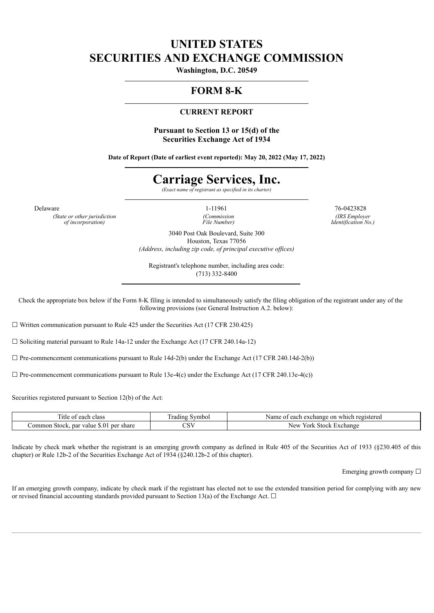## **UNITED STATES SECURITIES AND EXCHANGE COMMISSION**

**Washington, D.C. 20549**

### **FORM 8-K**

#### **CURRENT REPORT**

**Pursuant to Section 13 or 15(d) of the Securities Exchange Act of 1934**

**Date of Report (Date of earliest event reported): May 20, 2022 (May 17, 2022)**

# **Carriage Services, Inc.**

*(Exact name of registrant as specified in its charter)*

*(State or other jurisdiction of incorporation)*

*(Commission File Number)*

Delaware 26-0423828 76-0423828 *(IRS Employer Identification No.)*

> 3040 Post Oak Boulevard, Suite 300 Houston, Texas 77056 *(Address, including zip code, of principal executive of ices)*

Registrant's telephone number, including area code: (713) 332-8400

Check the appropriate box below if the Form 8-K filing is intended to simultaneously satisfy the filing obligation of the registrant under any of the following provisions (see General Instruction A.2. below):

 $\Box$  Written communication pursuant to Rule 425 under the Securities Act (17 CFR 230.425)

☐ Soliciting material pursuant to Rule 14a-12 under the Exchange Act (17 CFR 240.14a-12)

 $\Box$  Pre-commencement communications pursuant to Rule 14d-2(b) under the Exchange Act (17 CFR 240.14d-2(b))

 $\Box$  Pre-commencement communications pursuant to Rule 13e-4(c) under the Exchange Act (17 CFR 240.13e-4(c))

Securities registered pursuant to Section 12(b) of the Act:

| . itle<br>class<br>anok<br><b>CAUT</b>                          | $\sim$<br>radıng<br>$\mathbf{v}$ mbo. | Name<br>registereg<br>exchange<br>which<br>each<br>-on<br>$\sim$ |
|-----------------------------------------------------------------|---------------------------------------|------------------------------------------------------------------|
| ommon:<br>per<br>share<br>value<br>par<br><b>Stock</b><br>.5.11 | $\sim$ $\sim$ $\sim$<br>◡◡            | New<br>York<br>. Exchange<br>Stock                               |

Indicate by check mark whether the registrant is an emerging growth company as defined in Rule 405 of the Securities Act of 1933 (§230.405 of this chapter) or Rule 12b-2 of the Securities Exchange Act of 1934 (§240.12b-2 of this chapter).

Emerging growth company  $\Box$ 

If an emerging growth company, indicate by check mark if the registrant has elected not to use the extended transition period for complying with any new or revised financial accounting standards provided pursuant to Section 13(a) of the Exchange Act.  $\Box$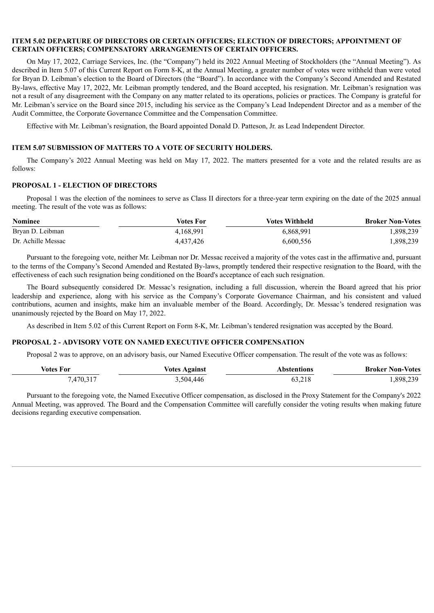#### **ITEM 5.02 DEPARTURE OF DIRECTORS OR CERTAIN OFFICERS; ELECTION OF DIRECTORS; APPOINTMENT OF CERTAIN OFFICERS; COMPENSATORY ARRANGEMENTS OF CERTAIN OFFICERS.**

On May 17, 2022, Carriage Services, Inc. (the "Company") held its 2022 Annual Meeting of Stockholders (the "Annual Meeting"). As described in Item 5.07 of this Current Report on Form 8-K, at the Annual Meeting, a greater number of votes were withheld than were voted for Bryan D. Leibman's election to the Board of Directors (the "Board"). In accordance with the Company's Second Amended and Restated By-laws, effective May 17, 2022, Mr. Leibman promptly tendered, and the Board accepted, his resignation. Mr. Leibman's resignation was not a result of any disagreement with the Company on any matter related to its operations, policies or practices. The Company is grateful for Mr. Leibman's service on the Board since 2015, including his service as the Company's Lead Independent Director and as a member of the Audit Committee, the Corporate Governance Committee and the Compensation Committee.

Effective with Mr. Leibman's resignation, the Board appointed Donald D. Patteson, Jr. as Lead Independent Director.

#### **ITEM 5.07 SUBMISSION OF MATTERS TO A VOTE OF SECURITY HOLDERS.**

The Company's 2022 Annual Meeting was held on May 17, 2022. The matters presented for a vote and the related results are as follows:

#### **PROPOSAL 1 - ELECTION OF DIRECTORS**

Proposal 1 was the election of the nominees to serve as Class II directors for a three-year term expiring on the date of the 2025 annual meeting. The result of the vote was as follows:

| <b>Nominee</b>     | Votes For | <b>Votes Withheld</b> | <b>Broker Non-Votes</b> |
|--------------------|-----------|-----------------------|-------------------------|
| Bryan D. Leibman   | 4,168,991 | 6,868,991             | 1,898,239               |
| Dr. Achille Messac | 4.437.426 | 6,600,556             | 1,898,239               |

Pursuant to the foregoing vote, neither Mr. Leibman nor Dr. Messac received a majority of the votes cast in the affirmative and, pursuant to the terms of the Company's Second Amended and Restated By-laws, promptly tendered their respective resignation to the Board, with the effectiveness of each such resignation being conditioned on the Board's acceptance of each such resignation.

The Board subsequently considered Dr. Messac's resignation, including a full discussion, wherein the Board agreed that his prior leadership and experience, along with his service as the Company's Corporate Governance Chairman, and his consistent and valued contributions, acumen and insights, make him an invaluable member of the Board. Accordingly, Dr. Messac's tendered resignation was unanimously rejected by the Board on May 17, 2022.

As described in Item 5.02 of this Current Report on Form 8-K, Mr. Leibman's tendered resignation was accepted by the Board.

#### **PROPOSAL 2 - ADVISORY VOTE ON NAMED EXECUTIVE OFFICER COMPENSATION**

Proposal 2 was to approve, on an advisory basis, our Named Executive Officer compensation. The result of the vote was as follows:

| Votes<br>ror             | /atac<br>l aainst | ілпс | - Kroke~<br>Nor<br>′∩tac |
|--------------------------|-------------------|------|--------------------------|
| $\overline{\phantom{a}}$ | 504.              |      | 909                      |

Pursuant to the foregoing vote, the Named Executive Officer compensation, as disclosed in the Proxy Statement for the Company's 2022 Annual Meeting, was approved. The Board and the Compensation Committee will carefully consider the voting results when making future decisions regarding executive compensation.